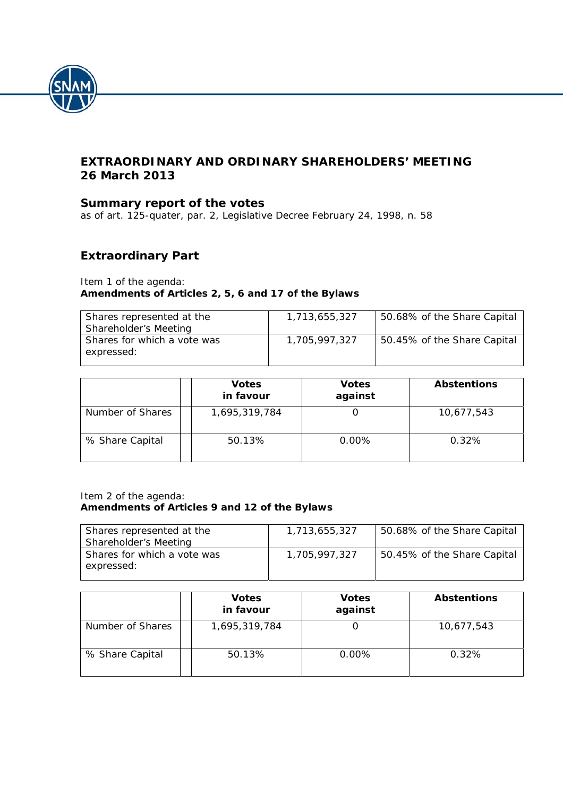

# **EXTRAORDINARY AND ORDINARY SHAREHOLDERS' MEETING 26 March 2013**

# **Summary report of the votes**

*as of art. 125-quater, par. 2, Legislative Decree February 24, 1998, n. 58* 

# **Extraordinary Part**

#### Item 1 of the agenda:  **Amendments of Articles 2, 5, 6 and 17 of the Bylaws**

| Shares represented at the<br>Shareholder's Meeting | 1.713.655.327 | 50.68% of the Share Capital |
|----------------------------------------------------|---------------|-----------------------------|
| Shares for which a vote was<br>expressed:          | 1.705.997.327 | 50.45% of the Share Capital |

|                  | <b>Votes</b><br>in favour | <b>Votes</b><br>against | <b>Abstentions</b> |
|------------------|---------------------------|-------------------------|--------------------|
| Number of Shares | 1,695,319,784             |                         | 10,677,543         |
| % Share Capital  | 50.13%                    | $0.00\%$                | 0.32%              |

#### Item 2 of the agenda:  **Amendments of Articles 9 and 12 of the Bylaws**

| Shares represented at the<br>Shareholder's Meeting | 1.713.655.327 | 50.68% of the Share Capital |
|----------------------------------------------------|---------------|-----------------------------|
| Shares for which a vote was<br>expressed:          | 1.705.997.327 | 50.45% of the Share Capital |

|                  | <b>Votes</b><br>in favour | <b>Votes</b><br>against | <b>Abstentions</b> |
|------------------|---------------------------|-------------------------|--------------------|
| Number of Shares | 1,695,319,784             |                         | 10,677,543         |
| % Share Capital  | 50.13%                    | 0.00%                   | 0.32%              |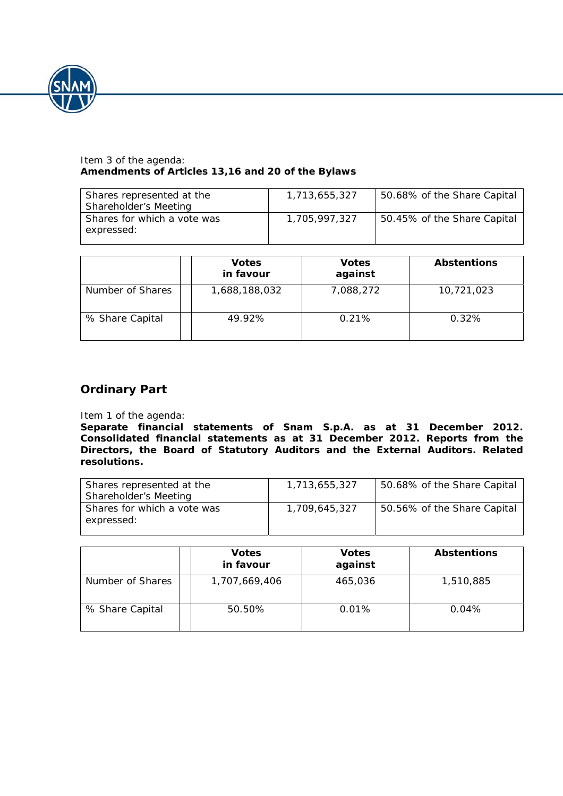

### Item 3 of the agenda:  **Amendments of Articles 13,16 and 20 of the Bylaws**

| Shares represented at the<br>Shareholder's Meeting | 1.713.655.327 | 50.68% of the Share Capital |
|----------------------------------------------------|---------------|-----------------------------|
| Shares for which a vote was<br>expressed:          | 1,705,997,327 | 50.45% of the Share Capital |

|                  | <b>Votes</b><br>in favour | <b>Votes</b><br>against | <b>Abstentions</b> |
|------------------|---------------------------|-------------------------|--------------------|
| Number of Shares | 1,688,188,032             | 7,088,272               | 10,721,023         |
| % Share Capital  | 49.92%                    | 0.21%                   | 0.32%              |

# **Ordinary Part**

#### Item 1 of the agenda:

**Separate financial statements of Snam S.p.A. as at 31 December 2012. Consolidated financial statements as at 31 December 2012. Reports from the Directors, the Board of Statutory Auditors and the External Auditors. Related resolutions.** 

| Shares represented at the<br>Shareholder's Meeting | 1,713,655,327 | 50.68% of the Share Capital |
|----------------------------------------------------|---------------|-----------------------------|
| Shares for which a vote was<br>expressed:          | 1,709,645,327 | 50.56% of the Share Capital |

|                  | <b>Votes</b><br>in favour | <b>Votes</b><br>against | <b>Abstentions</b> |
|------------------|---------------------------|-------------------------|--------------------|
| Number of Shares | 1,707,669,406             | 465,036                 | 1,510,885          |
| % Share Capital  | 50.50%                    | 0.01%                   | 0.04%              |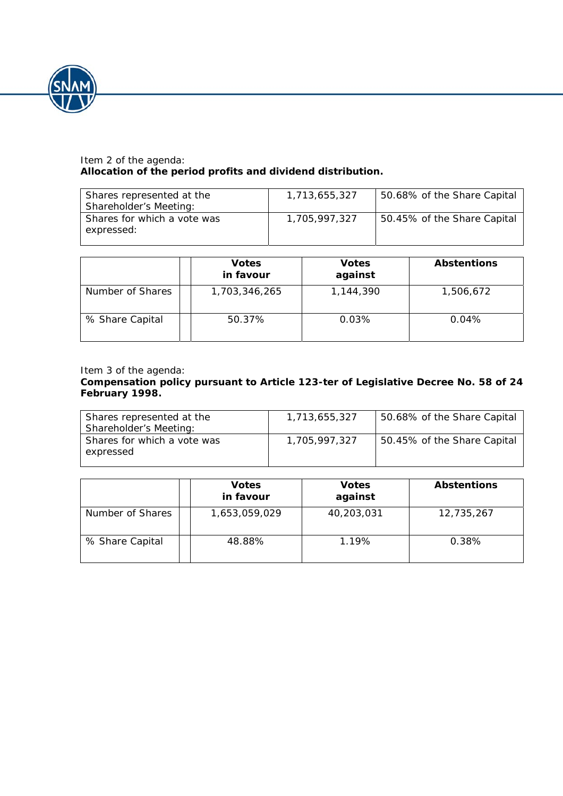

### Item 2 of the agenda: **Allocation of the period profits and dividend distribution.**

| Shares represented at the<br>Shareholder's Meeting: | 1,713,655,327 | 50.68% of the Share Capital |
|-----------------------------------------------------|---------------|-----------------------------|
| Shares for which a vote was<br>expressed:           | 1,705,997,327 | 50.45% of the Share Capital |

|                  | <b>Votes</b><br>in favour | <b>Votes</b><br>against | <b>Abstentions</b> |
|------------------|---------------------------|-------------------------|--------------------|
| Number of Shares | 1,703,346,265             | 1,144,390               | 1,506,672          |
| % Share Capital  | 50.37%                    | 0.03%                   | 0.04%              |

Item 3 of the agenda:

## **Compensation policy pursuant to Article 123-***ter* **of Legislative Decree No. 58 of 24 February 1998.**

| Shares represented at the<br>Shareholder's Meeting: | 1,713,655,327 | 50.68% of the Share Capital |
|-----------------------------------------------------|---------------|-----------------------------|
| Shares for which a vote was<br>expressed            | 1,705,997,327 | 50.45% of the Share Capital |

|                  | <b>Votes</b><br>in favour | <b>Votes</b><br>against | <b>Abstentions</b> |
|------------------|---------------------------|-------------------------|--------------------|
| Number of Shares | 1,653,059,029             | 40,203,031              | 12,735,267         |
| % Share Capital  | 48.88%                    | 1.19%                   | 0.38%              |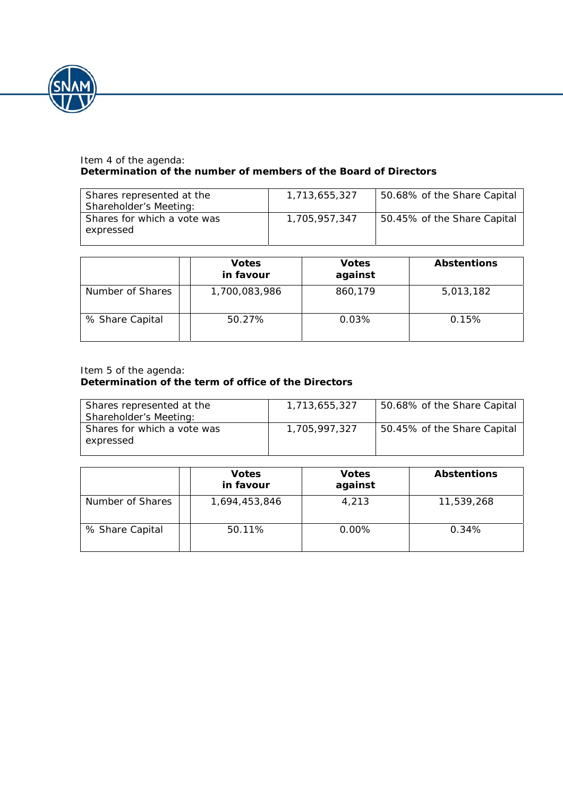

### Item 4 of the agenda: **Determination of the number of members of the Board of Directors**

| Shares represented at the<br>Shareholder's Meeting: | 1,713,655,327 | 50.68% of the Share Capital |
|-----------------------------------------------------|---------------|-----------------------------|
| Shares for which a vote was<br>expressed            | 1,705,957,347 | 50.45% of the Share Capital |

|                  | <b>Votes</b><br>in favour | <b>Votes</b><br>against | <b>Abstentions</b> |
|------------------|---------------------------|-------------------------|--------------------|
| Number of Shares | 1,700,083,986             | 860,179                 | 5,013,182          |
| % Share Capital  | 50.27%                    | 0.03%                   | 0.15%              |

#### Item 5 of the agenda: **Determination of the term of office of the Directors**

| Shares represented at the<br>Shareholder's Meeting: | 1,713,655,327 | 50.68% of the Share Capital |
|-----------------------------------------------------|---------------|-----------------------------|
| Shares for which a vote was<br>expressed            | 1,705,997,327 | 50.45% of the Share Capital |

|                  | <b>Votes</b><br>in favour | <b>Votes</b><br>against | <b>Abstentions</b> |
|------------------|---------------------------|-------------------------|--------------------|
| Number of Shares | 1,694,453,846             | 4,213                   | 11,539,268         |
| % Share Capital  | 50.11%                    | 0.00%                   | 0.34%              |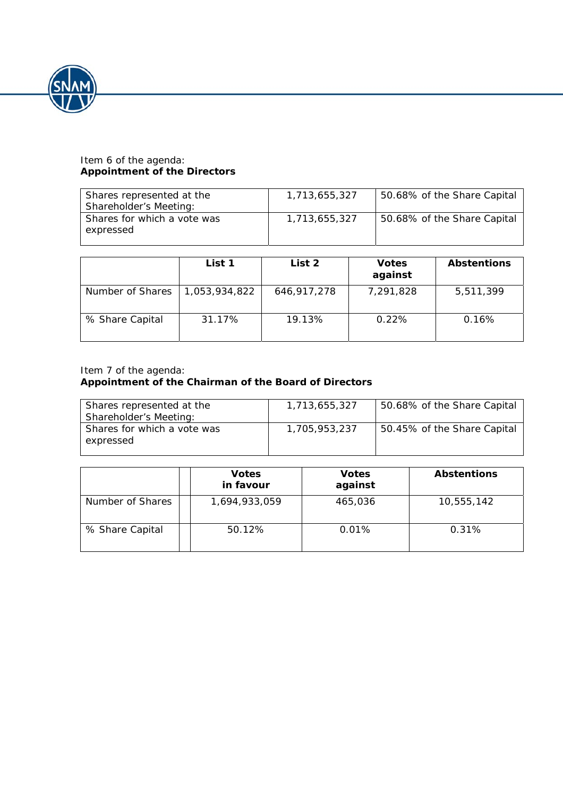

#### Item 6 of the agenda: **Appointment of the Directors**

| Shares represented at the<br>Shareholder's Meeting: | 1,713,655,327 | 50.68% of the Share Capital |
|-----------------------------------------------------|---------------|-----------------------------|
| Shares for which a vote was<br>expressed            | 1,713,655,327 | 50.68% of the Share Capital |

|                  | List 1        | List 2      | <b>Votes</b><br>against | <b>Abstentions</b> |
|------------------|---------------|-------------|-------------------------|--------------------|
| Number of Shares | 1,053,934,822 | 646,917,278 | 7,291,828               | 5,511,399          |
| % Share Capital  | 31.17%        | 19.13%      | 0.22%                   | 0.16%              |

#### Item 7 of the agenda: **Appointment of the Chairman of the Board of Directors**

| Shares represented at the<br>Shareholder's Meeting: | 1,713,655,327 | 50.68% of the Share Capital |
|-----------------------------------------------------|---------------|-----------------------------|
| Shares for which a vote was<br>expressed            | 1,705,953,237 | 50.45% of the Share Capital |

|                  | <b>Votes</b><br>in favour | <b>Votes</b><br>against | <b>Abstentions</b> |
|------------------|---------------------------|-------------------------|--------------------|
| Number of Shares | 1,694,933,059             | 465,036                 | 10,555,142         |
| % Share Capital  | 50.12%                    | 0.01%                   | 0.31%              |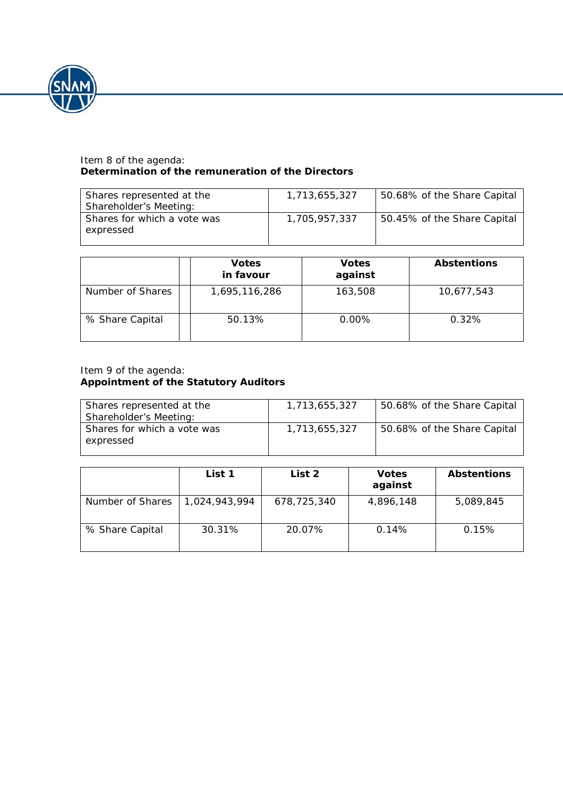

### Item 8 of the agenda: **Determination of the remuneration of the Directors**

| Shares represented at the<br>Shareholder's Meeting: | 1,713,655,327 | 50.68% of the Share Capital |
|-----------------------------------------------------|---------------|-----------------------------|
| Shares for which a vote was<br>expressed            | 1,705,957,337 | 50.45% of the Share Capital |

|                  | <b>Votes</b><br>in favour | <b>Votes</b><br>against | <b>Abstentions</b> |
|------------------|---------------------------|-------------------------|--------------------|
| Number of Shares | 1,695,116,286             | 163,508                 | 10,677,543         |
| % Share Capital  | 50.13%                    | 0.00%                   | 0.32%              |

## Item 9 of the agenda: **Appointment of the Statutory Auditors**

| Shares represented at the<br>Shareholder's Meeting: | 1,713,655,327 | 50.68% of the Share Capital |
|-----------------------------------------------------|---------------|-----------------------------|
| Shares for which a vote was<br>expressed            | 1,713,655,327 | 50.68% of the Share Capital |

|                  | List 1        | List 2      | <b>Votes</b><br>against | <b>Abstentions</b> |
|------------------|---------------|-------------|-------------------------|--------------------|
| Number of Shares | 1,024,943,994 | 678,725,340 | 4,896,148               | 5,089,845          |
| % Share Capital  | 30.31%        | 20.07%      | 0.14%                   | 0.15%              |